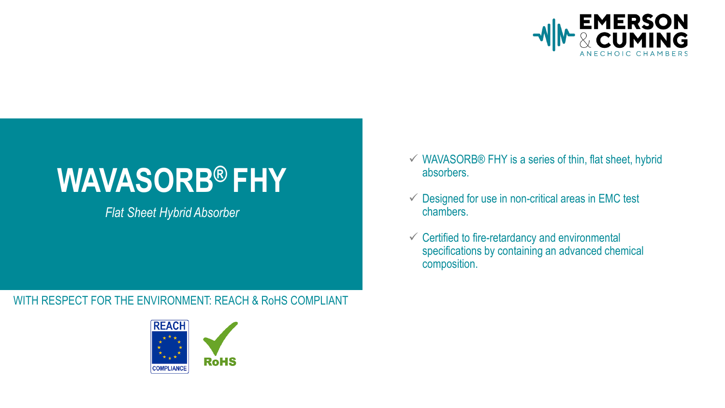

# **WAVASORB® FHY**

*Flat Sheet Hybrid Absorber*

### WITH RESPECT FOR THE ENVIRONMENT: REACH & RoHS COMPLIANT



- $\checkmark$  WAVASORB® FHY is a series of thin, flat sheet, hybrid absorbers.
- $\checkmark$  Designed for use in non-critical areas in EMC test chambers.
- $\checkmark$  Certified to fire-retardancy and environmental specifications by containing an advanced chemical composition.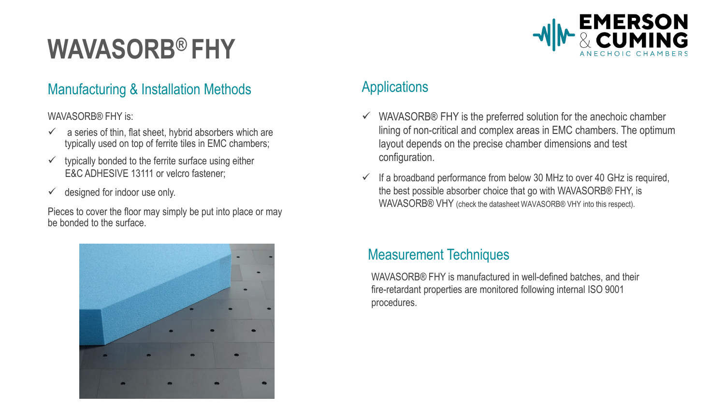## **WAVASORB® FHY**

### Manufacturing & Installation Methods **Applications**

WAVASORB® FHY is:

- a series of thin, flat sheet, hybrid absorbers which are typically used on top of ferrite tiles in EMC chambers;
- typically bonded to the ferrite surface using either E&C ADHESIVE 13111 or velcro fastener:
- $\checkmark$  designed for indoor use only.

Pieces to cover the floor may simply be put into place or may be bonded to the surface.



- $\checkmark$  WAVASORB® FHY is the preferred solution for the anechoic chamber lining of non-critical and complex areas in EMC chambers. The optimum layout depends on the precise chamber dimensions and test configuration.
- $\checkmark$  If a broadband performance from below 30 MHz to over 40 GHz is required, the best possible absorber choice that go with WAVASORB® FHY, is WAVASORB® VHY (check the datasheet WAVASORB® VHY into this respect).

### Measurement Techniques

WAVASORB® FHY is manufactured in well-defined batches, and their fire-retardant properties are monitored following internal ISO 9001 procedures.

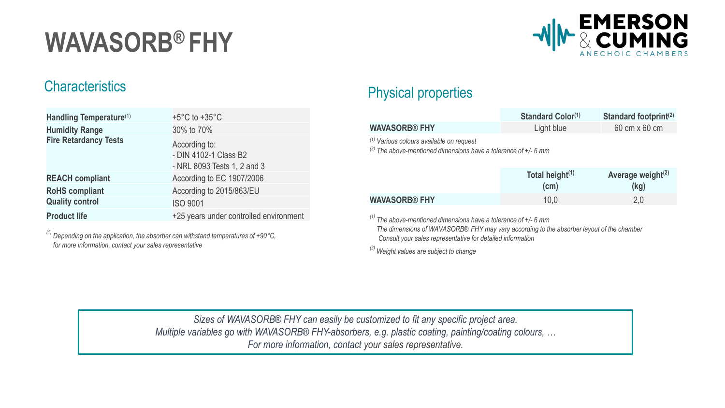## **WAVASORB® FHY**



| Handling Temperature(1)      | $+5^{\circ}$ C to $+35^{\circ}$ C                                     |
|------------------------------|-----------------------------------------------------------------------|
| <b>Humidity Range</b>        | 30% to 70%                                                            |
| <b>Fire Retardancy Tests</b> | According to:<br>- DIN 4102-1 Class B2<br>- NRL 8093 Tests 1, 2 and 3 |
| <b>REACH compliant</b>       | According to EC 1907/2006                                             |
| <b>RoHS</b> compliant        | According to 2015/863/EU                                              |
| <b>Quality control</b>       | <b>ISO 9001</b>                                                       |
| <b>Product life</b>          | +25 years under controlled environment                                |

*(1) Depending on the application, the absorber can withstand temperatures of +90°C, for more information, contact your sales representative*

## Characteristics **Physical properties**

|                                                                                                                          | Standard Color(1)                    | Standard footprint <sup>(2)</sup>                   |  |  |
|--------------------------------------------------------------------------------------------------------------------------|--------------------------------------|-----------------------------------------------------|--|--|
| <b>WAVASORB® FHY</b>                                                                                                     | Light blue                           | 60 cm x 60 cm                                       |  |  |
| (1) Various colours available on request<br><sup>(2)</sup> The above-mentioned dimensions have a tolerance of $+/-$ 6 mm |                                      |                                                     |  |  |
|                                                                                                                          | Total height $(1)$<br>$1 - \ldots 1$ | Average weight $(2)$<br>$\mathbf{H}$ . $\mathbf{H}$ |  |  |

|                      | Total height "<br>$\mathsf{(cm)}$ | Average weight $\mathbf{r}$<br>(kg) |
|----------------------|-----------------------------------|-------------------------------------|
| <b>WAVASORB® FHY</b> | 10,0                              | ን በ                                 |
|                      |                                   |                                     |

*(1) The above-mentioned dimensions have a tolerance of +/- 6 mm*

*The dimensions of WAVASORB® FHY may vary according to the absorber layout of the chamber Consult your sales representative for detailed information*

*(2) Weight values are subject to change*

*Sizes of WAVASORB® FHY can easily be customized to fit any specific project area. Multiple variables go with WAVASORB® FHY-absorbers, e.g. plastic coating, painting/coating colours, … For more information, contact your sales representative.*